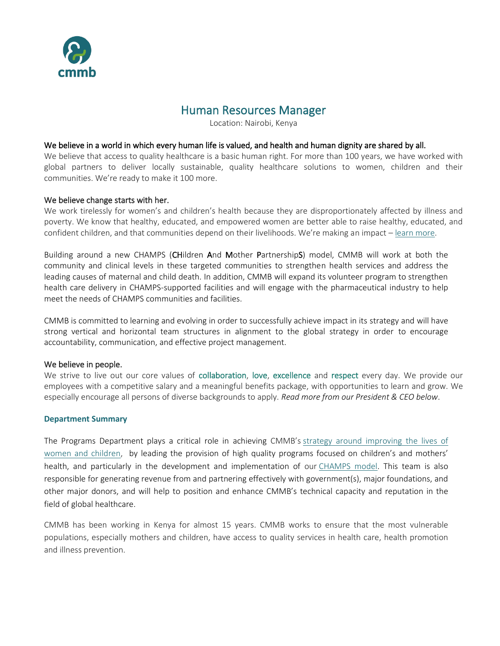

# Human Resources Manager

Location: Nairobi, Kenya

#### We believe in a world in which every human life is valued, and health and human dignity are shared by all.

We believe that access to quality healthcare is a basic human right. For more than 100 years, we have worked with global partners to deliver locally sustainable, quality healthcare solutions to women, children and their communities. We're ready to make it 100 more.

#### We believe change starts with her.

We work tirelessly for women's and children's health because they are disproportionately affected by illness and poverty. We know that healthy, educated, and empowered women are better able to raise healthy, educated, and confident children, and that communities depend on their livelihoods. We're making an impact – [learn more.](https://cmmb.org/global-family-annual-report/)

Building around a new CHAMPS (CHildren And Mother PartnershipS) model, CMMB will work at both the community and clinical levels in these targeted communities to strengthen health services and address the leading causes of maternal and child death. In addition, CMMB will expand its volunteer program to strengthen health care delivery in CHAMPS-supported facilities and will engage with the pharmaceutical industry to help meet the needs of CHAMPS communities and facilities.

CMMB is committed to learning and evolving in order to successfully achieve impact in its strategy and will have strong vertical and horizontal team structures in alignment to the global strategy in order to encourage accountability, communication, and effective project management.

#### We believe in people.

We strive to live out our core values of collaboration, love, excellence and respect every day. We provide our employees with a competitive salary and a meaningful benefits package, with opportunities to learn and grow. We especially encourage all persons of diverse backgrounds to apply. *Read more from our President & CEO below*.

## **Department Summary**

The Programs Department plays a critical role in achieving CMMB's [strategy around improving the lives of](http://cmmb.org/about-us/why-women-children/)  [women and children,](http://cmmb.org/about-us/why-women-children/) by leading the provision of high quality programs focused on children's and mothers' health, and particularly in the development and implementation of our [CHAMPS model.](http://cmmb.org/programs/champs/) This team is also responsible for generating revenue from and partnering effectively with government(s), major foundations, and other major donors, and will help to position and enhance CMMB's technical capacity and reputation in the field of global healthcare.

CMMB has been working in Kenya for almost 15 years. CMMB works to ensure that the most vulnerable populations, especially mothers and children, have access to quality services in health care, health promotion and illness prevention.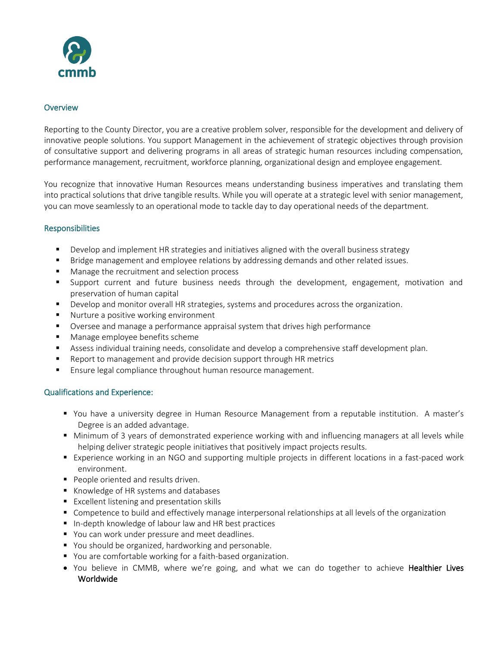

# **Overview**

Reporting to the County Director, you are a creative problem solver, responsible for the development and delivery of innovative people solutions. You support Management in the achievement of strategic objectives through provision of consultative support and delivering programs in all areas of strategic human resources including compensation, performance management, recruitment, workforce planning, organizational design and employee engagement.

You recognize that innovative Human Resources means understanding business imperatives and translating them into practical solutions that drive tangible results. While you will operate at a strategic level with senior management, you can move seamlessly to an operational mode to tackle day to day operational needs of the department.

# **Responsibilities**

- Develop and implement HR strategies and initiatives aligned with the overall business strategy
- Bridge management and employee relations by addressing demands and other related issues.
- Manage the recruitment and selection process
- Support current and future business needs through the development, engagement, motivation and preservation of human capital
- Develop and monitor overall HR strategies, systems and procedures across the organization.
- Nurture a positive working environment
- Oversee and manage a performance appraisal system that drives high performance
- Manage employee benefits scheme
- Assess individual training needs, consolidate and develop a comprehensive staff development plan.
- Report to management and provide decision support through HR metrics
- Ensure legal compliance throughout human resource management.

## Qualifications and Experience:

- You have a university degree in Human Resource Management from a reputable institution. A master's Degree is an added advantage.
- Minimum of 3 years of demonstrated experience working with and influencing managers at all levels while helping deliver strategic people initiatives that positively impact projects results.
- Experience working in an NGO and supporting multiple projects in different locations in a fast-paced work environment.
- People oriented and results driven.
- Knowledge of HR systems and databases
- Excellent listening and presentation skills
- Competence to build and effectively manage interpersonal relationships at all levels of the organization
- In-depth knowledge of labour law and [HR best practices](https://resources.workable.com/blog/hr-best-practices-su-joun)
- You can work under pressure and meet deadlines.
- You should be organized, hardworking and personable.
- You are comfortable working for a faith-based organization.
- You believe in CMMB, where we're going, and what we can do together to achieve Healthier Lives Worldwide